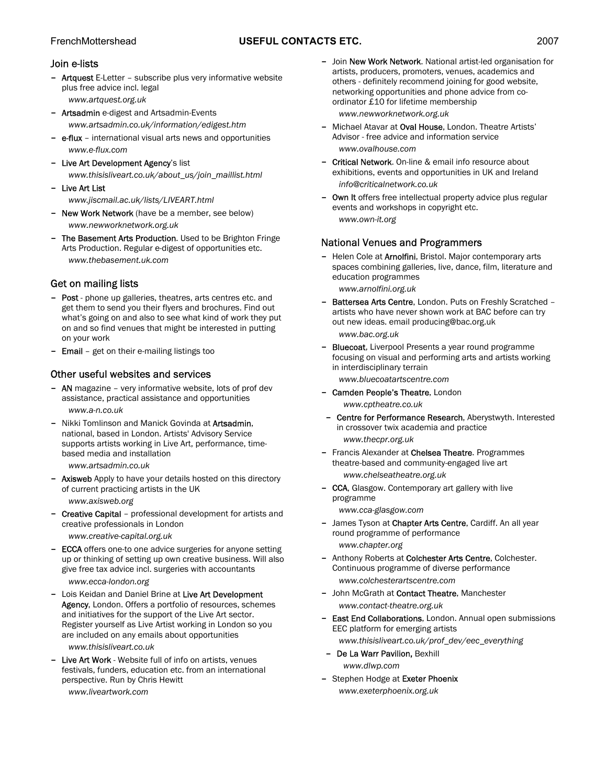## FrenchMottershead **USEFUL CONTACTS ETC.** 2007

#### Join e-lists

- Artquest E-Letter subscribe plus very informative website plus free advice incl. legal *[www.artquest.org.uk](http://www.artquest.org.uk/)*
- Artsadmin e-digest and Artsadmin-Events *www.artsadmin.co.uk/information/edigest.htm*
- e-flux international visual arts news and opportunities *[www.e-flux.com](http://www.e-flux.com/)*
- Live Art Development Agency's list *www.thisisliveart.co.uk/about\_us/join\_maillist.html*
- Live Art List

*www.jiscmail.ac.uk/lists/LIVEART.html* 

- New Work Network (have be a member, see below) *www.newworknetwork.org.uk*
- The Basement Arts Production. Used to be Brighton Fringe Arts Production. Regular e-digest of opportunities etc. *www.thebasement.uk.com*

# Get on mailing lists

- Post phone up galleries, theatres, arts centres etc. and get them to send you their flyers and brochures. Find out what's going on and also to see what kind of work they put on and so find venues that might be interested in putting on your work
- Email get on their e-mailing listings too

## Other useful websites and services

- AN magazine very informative website, lots of prof dev assistance, practical assistance and opportunities *www.a-n.co.uk*
- Nikki Tomlinson and Manick Govinda at Artsadmin, national, based in London. Artists' Advisory Service supports artists working in Live Art, performance, timebased media and installation

*www.artsadmin.co.uk* 

Axisweb Apply to have your details hosted on this directory of current practicing artists in the UK

*www.axisweb.org* 

- Creative Capital - professional development for artists and creative professionals in London *www.creative-capital.org.uk* 

- ECCA offers one-to one advice surgeries for anyone setting up or thinking of setting up own creative business. Will also give free tax advice incl. surgeries with accountants *[www.ecca-london.org](http://www.ecca-london.org/)*
- Lois Keidan and Daniel Brine at Live Art Development Agency, London. Offers a portfolio of resources, schemes and initiatives for the support of the Live Art sector. Register yourself as Live Artist working in London so you are included on any emails about opportunities *www.thisisliveart.co.uk*
- Live Art Work Website full of info on artists, venues festivals, funders, education etc. from an international perspective. Run by Chris Hewitt *www.liveartwork.com*
- Join New Work Network. National artist-led organisation for artists, producers, promoters, venues, academics and others - definitely recommend joining for good website, networking opportunities and phone advice from coordinator £10 for lifetime membership *www.newworknetwork.org.uk*
- Michael Atavar at Oval House, London. Theatre Artists' Advisor - free advice and information service *www.ovalhouse.com*
- Critical Network. On-line & email info resource about exhibitions, events and opportunities in UK and Ireland *info@criticalnetwork.co.uk*
- Own It offers free intellectual property advice plus regular events and workshops in copyright etc. *www.own-it.org*

## National Venues and Programmers

- Helen Cole at Arnolfini, Bristol. Major contemporary arts spaces combining galleries, live, dance, film, literature and education programmes *www.arnolfini.org.uk*
- Battersea Arts Centre, London. Puts on Freshly Scratched artists who have never shown work at BAC before can try out new ideas. email producing@bac.org.uk *www.bac.org.uk*
- Bluecoat, Liverpool Presents a year round programme focusing on visual and performing arts and artists working in interdisciplinary terrain

*www.bluecoatartscentre.com* 

- Camden People's Theatre, London *www.cptheatre.co.uk*
- Centre for Performance Research, Aberystwyth. Interested in crossover twix academia and practice *[www.thecpr.org.uk](http://www.thecpr.org.uk/)*
- Francis Alexander at Chelsea Theatre. Programmes theatre-based and community-engaged live art *www.chelseatheatre.org.uk*
- CCA, Glasgow. Contemporary art gallery with live programme *www.cca-glasgow.com*
- James Tyson at Chapter Arts Centre, Cardiff. An all year round programme of performance *www.chapter.org*
- Anthony Roberts at Colchester Arts Centre, Colchester. Continuous programme of diverse performance *www.colchesterartscentre.com*
- John McGrath at Contact Theatre, Manchester *www.contact-theatre.org.uk*
- East End Collaborations, London. Annual open submissions EEC platform for emerging artists *www.thisisliveart.co.uk/prof\_dev/eec\_everything*
- De La Warr Pavilion, Bexhill *www.dlwp.com*
- Stephen Hodge at Exeter Phoenix *www.exeterphoenix.org.uk*